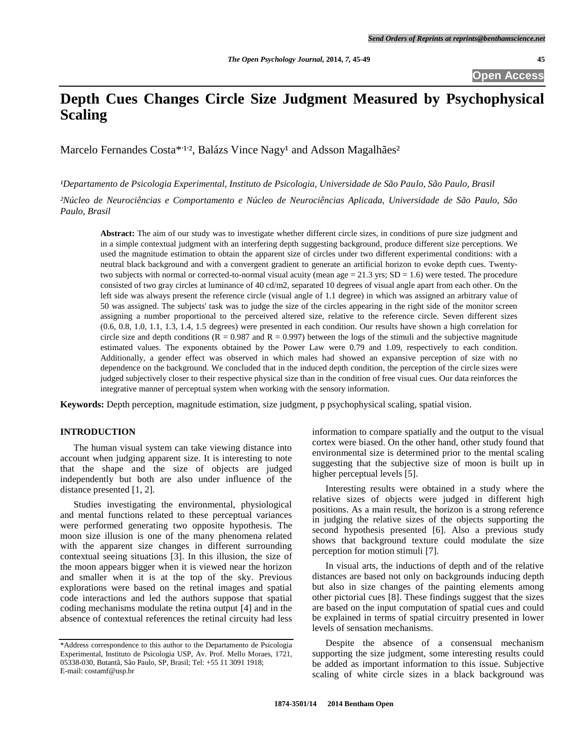# **Depth Cues Changes Circle Size Judgment Measured by Psychophysical Scaling**

Marcelo Fernandes Costa<sup>\*, 1,2</sup>, Balázs Vince Nagy<sup>1</sup> and Adsson Magalhães<sup>2</sup>

*¹Departamento de Psicologia Experimental, Instituto de Psicologia, Universidade de São Paulo, São Paulo, Brasil*

*²Núcleo de Neurociências e Comportamento e Núcleo de Neurociências Aplicada, Universidade de São Paulo, São Paulo, Brasil*

**Abstract:** The aim of our study was to investigate whether different circle sizes, in conditions of pure size judgment and in a simple contextual judgment with an interfering depth suggesting background, produce different size perceptions. We used the magnitude estimation to obtain the apparent size of circles under two different experimental conditions: with a neutral black background and with a convergent gradient to generate an artificial horizon to evoke depth cues. Twentytwo subjects with normal or corrected-to-normal visual acuity (mean age  $= 21.3$  yrs;  $SD = 1.6$ ) were tested. The procedure consisted of two gray circles at luminance of 40 cd/m2, separated 10 degrees of visual angle apart from each other. On the left side was always present the reference circle (visual angle of 1.1 degree) in which was assigned an arbitrary value of 50 was assigned. The subjects' task was to judge the size of the circles appearing in the right side of the monitor screen assigning a number proportional to the perceived altered size, relative to the reference circle. Seven different sizes (0.6, 0.8, 1.0, 1.1, 1.3, 1.4, 1.5 degrees) were presented in each condition. Our results have shown a high correlation for circle size and depth conditions ( $R = 0.987$  and  $R = 0.997$ ) between the logs of the stimuli and the subjective magnitude estimated values. The exponents obtained by the Power Law were 0.79 and 1.09, respectively to each condition. Additionally, a gender effect was observed in which males had showed an expansive perception of size with no dependence on the background. We concluded that in the induced depth condition, the perception of the circle sizes were judged subjectively closer to their respective physical size than in the condition of free visual cues. Our data reinforces the integrative manner of perceptual system when working with the sensory information.

**Keywords:** Depth perception, magnitude estimation, size judgment, p psychophysical scaling, spatial vision.

# **INTRODUCTION**

The human visual system can take viewing distance into account when judging apparent size. It is interesting to note that the shape and the size of objects are judged independently but both are also under influence of the distance presented [1, 2].

Studies investigating the environmental, physiological and mental functions related to these perceptual variances were performed generating two opposite hypothesis. The moon size illusion is one of the many phenomena related with the apparent size changes in different surrounding contextual seeing situations [3]. In this illusion, the size of the moon appears bigger when it is viewed near the horizon and smaller when it is at the top of the sky. Previous explorations were based on the retinal images and spatial code interactions and led the authors suppose that spatial coding mechanisms modulate the retina output [4] and in the absence of contextual references the retinal circuity had less

information to compare spatially and the output to the visual cortex were biased. On the other hand, other study found that environmental size is determined prior to the mental scaling suggesting that the subjective size of moon is built up in higher perceptual levels [5].

Interesting results were obtained in a study where the relative sizes of objects were judged in different high positions. As a main result, the horizon is a strong reference in judging the relative sizes of the objects supporting the second hypothesis presented [6]. Also a previous study shows that background texture could modulate the size perception for motion stimuli [7].

In visual arts, the inductions of depth and of the relative distances are based not only on backgrounds inducing depth but also in size changes of the painting elements among other pictorial cues [8]. These findings suggest that the sizes are based on the input computation of spatial cues and could be explained in terms of spatial circuitry presented in lower levels of sensation mechanisms.

Despite the absence of a consensual mechanism supporting the size judgment, some interesting results could be added as important information to this issue. Subjective scaling of white circle sizes in a black background was

<sup>\*</sup>Address correspondence to this author to the Departamento de Psicologia Experimental, Instituto de Psicologia USP, Av. Prof. Mello Moraes, 1721, 05338-030, Butantã, São Paulo, SP, Brasil; Tel: +55 11 3091 1918; E-mail: costamf@usp.br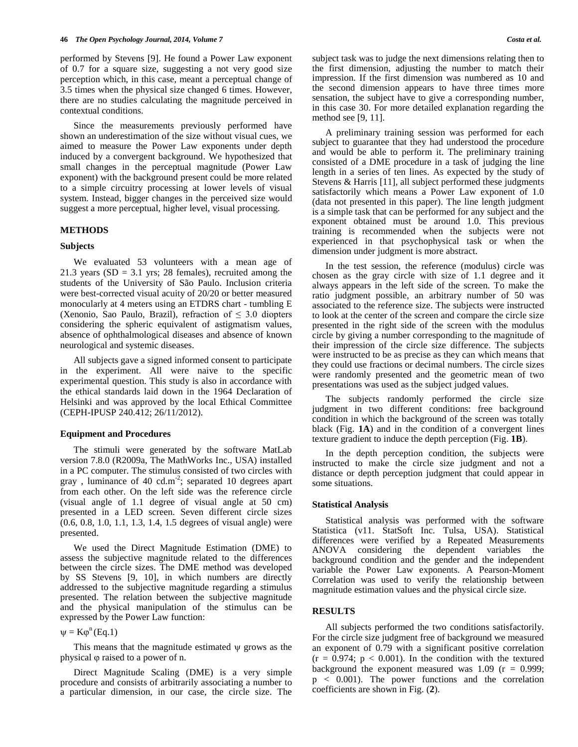performed by Stevens [9]. He found a Power Law exponent of 0.7 for a square size, suggesting a not very good size perception which, in this case, meant a perceptual change of 3.5 times when the physical size changed 6 times. However, there are no studies calculating the magnitude perceived in contextual conditions.

Since the measurements previously performed have shown an underestimation of the size without visual cues, we aimed to measure the Power Law exponents under depth induced by a convergent background. We hypothesized that small changes in the perceptual magnitude (Power Law exponent) with the background present could be more related to a simple circuitry processing at lower levels of visual system. Instead, bigger changes in the perceived size would suggest a more perceptual, higher level, visual processing.

## **METHODS**

#### **Subjects**

We evaluated 53 volunteers with a mean age of 21.3 years (SD = 3.1 yrs; 28 females), recruited among the students of the University of São Paulo. Inclusion criteria were best-corrected visual acuity of 20/20 or better measured monocularly at 4 meters using an ETDRS chart - tumbling E (Xenonio, Sao Paulo, Brazil), refraction of  $\leq 3.0$  diopters considering the spheric equivalent of astigmatism values, absence of ophthalmological diseases and absence of known neurological and systemic diseases.

All subjects gave a signed informed consent to participate in the experiment. All were naive to the specific experimental question. This study is also in accordance with the ethical standards laid down in the 1964 Declaration of Helsinki and was approved by the local Ethical Committee (CEPH-IPUSP 240.412; 26/11/2012).

#### **Equipment and Procedures**

The stimuli were generated by the software MatLab version 7.8.0 (R2009a, The MathWorks Inc., USA) installed in a PC computer. The stimulus consisted of two circles with gray, luminance of 40 cd.m<sup>-2</sup>; separated 10 degrees apart from each other. On the left side was the reference circle (visual angle of 1.1 degree of visual angle at 50 cm) presented in a LED screen. Seven different circle sizes (0.6, 0.8, 1.0, 1.1, 1.3, 1.4, 1.5 degrees of visual angle) were presented.

We used the Direct Magnitude Estimation (DME) to assess the subjective magnitude related to the differences between the circle sizes. The DME method was developed by SS Stevens [9, 10], in which numbers are directly addressed to the subjective magnitude regarding a stimulus presented. The relation between the subjective magnitude and the physical manipulation of the stimulus can be expressed by the Power Law function:

 $\Psi = K\varphi^{n}(Eq.1)$ 

This means that the magnitude estimated  $\psi$  grows as the physical  $\varphi$  raised to a power of n.

Direct Magnitude Scaling (DME) is a very simple procedure and consists of arbitrarily associating a number to a particular dimension, in our case, the circle size. The subject task was to judge the next dimensions relating then to the first dimension, adjusting the number to match their impression. If the first dimension was numbered as 10 and the second dimension appears to have three times more sensation, the subject have to give a corresponding number, in this case 30. For more detailed explanation regarding the method see [9, 11].

A preliminary training session was performed for each subject to guarantee that they had understood the procedure and would be able to perform it. The preliminary training consisted of a DME procedure in a task of judging the line length in a series of ten lines. As expected by the study of Stevens & Harris [11], all subject performed these judgments satisfactorily which means a Power Law exponent of 1.0 (data not presented in this paper). The line length judgment is a simple task that can be performed for any subject and the exponent obtained must be around 1.0. This previous training is recommended when the subjects were not experienced in that psychophysical task or when the dimension under judgment is more abstract.

In the test session, the reference (modulus) circle was chosen as the gray circle with size of 1.1 degree and it always appears in the left side of the screen. To make the ratio judgment possible, an arbitrary number of 50 was associated to the reference size. The subjects were instructed to look at the center of the screen and compare the circle size presented in the right side of the screen with the modulus circle by giving a number corresponding to the magnitude of their impression of the circle size difference. The subjects were instructed to be as precise as they can which means that they could use fractions or decimal numbers. The circle sizes were randomly presented and the geometric mean of two presentations was used as the subject judged values.

The subjects randomly performed the circle size judgment in two different conditions: free background condition in which the background of the screen was totally black (Fig. **1A**) and in the condition of a convergent lines texture gradient to induce the depth perception (Fig. **1B**).

In the depth perception condition, the subjects were instructed to make the circle size judgment and not a distance or depth perception judgment that could appear in some situations.

## **Statistical Analysis**

Statistical analysis was performed with the software Statistica (v11. StatSoft Inc. Tulsa, USA). Statistical differences were verified by a Repeated Measurements ANOVA considering the dependent variables the background condition and the gender and the independent variable the Power Law exponents. A Pearson-Moment Correlation was used to verify the relationship between magnitude estimation values and the physical circle size.

#### **RESULTS**

All subjects performed the two conditions satisfactorily. For the circle size judgment free of background we measured an exponent of 0.79 with a significant positive correlation  $(r = 0.974; p < 0.001)$ . In the condition with the textured background the exponent measured was  $1.09$  ( $r = 0.999$ ; p < 0.001). The power functions and the correlation coefficients are shown in Fig. (**2**).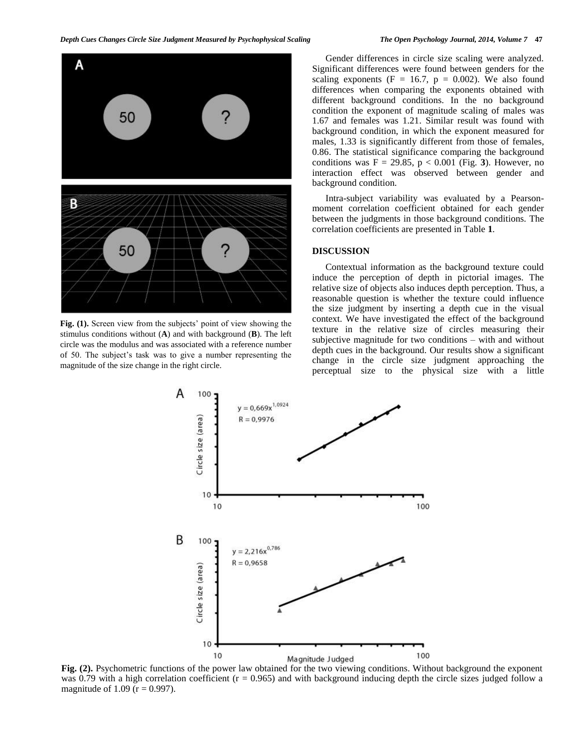

Fig. (1). Screen view from the subjects' point of view showing the stimulus conditions without (**A**) and with background (**B**). The left circle was the modulus and was associated with a reference number of 50. The subject's task was to give a number representing the magnitude of the size change in the right circle.

Gender differences in circle size scaling were analyzed. Significant differences were found between genders for the scaling exponents (F = 16.7,  $p = 0.002$ ). We also found differences when comparing the exponents obtained with different background conditions. In the no background condition the exponent of magnitude scaling of males was 1.67 and females was 1.21. Similar result was found with background condition, in which the exponent measured for males, 1.33 is significantly different from those of females, 0.86. The statistical significance comparing the background conditions was  $F = 29.85$ ,  $p < 0.001$  (Fig. 3). However, no interaction effect was observed between gender and background condition.

Intra-subject variability was evaluated by a Pearsonmoment correlation coefficient obtained for each gender between the judgments in those background conditions. The correlation coefficients are presented in Table **1**.

#### **DISCUSSION**

Contextual information as the background texture could induce the perception of depth in pictorial images. The relative size of objects also induces depth perception. Thus, a reasonable question is whether the texture could influence the size judgment by inserting a depth cue in the visual context. We have investigated the effect of the background texture in the relative size of circles measuring their subjective magnitude for two conditions – with and without depth cues in the background. Our results show a significant change in the circle size judgment approaching the perceptual size to the physical size with a little



**Fig. (2).** Psychometric functions of the power law obtained for the two viewing conditions. Without background the exponent was 0.79 with a high correlation coefficient  $(r = 0.965)$  and with background inducing depth the circle sizes judged follow a magnitude of 1.09 ( $r = 0.997$ ).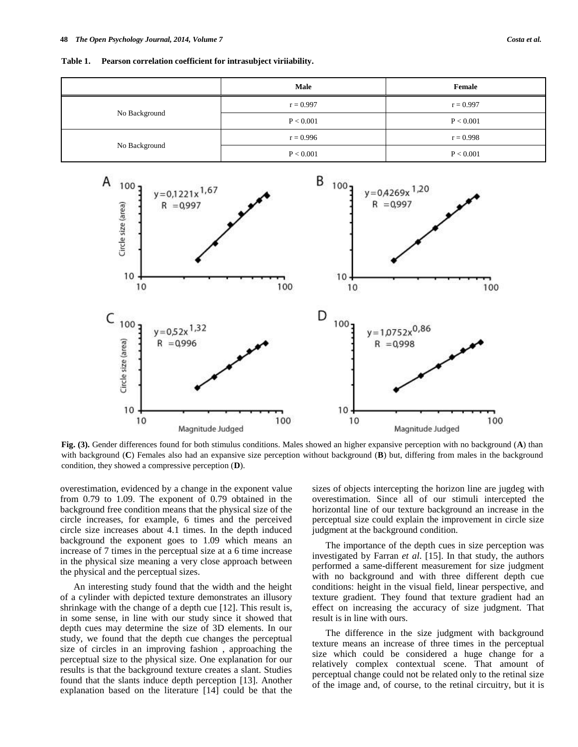**Table 1. Pearson correlation coefficient for intrasubject viriiability.**

|               | <b>Male</b> | Female      |
|---------------|-------------|-------------|
| No Background | $r = 0.997$ | $r = 0.997$ |
|               | P < 0.001   | P < 0.001   |
| No Background | $r = 0.996$ | $r = 0.998$ |
|               | P < 0.001   | P < 0.001   |



**Fig. (3).** Gender differences found for both stimulus conditions. Males showed an higher expansive perception with no background (**A**) than with background (**C**) Females also had an expansive size perception without background (**B**) but, differing from males in the background condition, they showed a compressive perception (**D**).

overestimation, evidenced by a change in the exponent value from 0.79 to 1.09. The exponent of 0.79 obtained in the background free condition means that the physical size of the circle increases, for example, 6 times and the perceived circle size increases about 4.1 times. In the depth induced background the exponent goes to 1.09 which means an increase of 7 times in the perceptual size at a 6 time increase in the physical size meaning a very close approach between the physical and the perceptual sizes.

An interesting study found that the width and the height of a cylinder with depicted texture demonstrates an illusory shrinkage with the change of a depth cue [12]. This result is, in some sense, in line with our study since it showed that depth cues may determine the size of 3D elements. In our study, we found that the depth cue changes the perceptual size of circles in an improving fashion , approaching the perceptual size to the physical size. One explanation for our results is that the background texture creates a slant. Studies found that the slants induce depth perception [13]. Another explanation based on the literature [14] could be that the sizes of objects intercepting the horizon line are jugdeg with overestimation. Since all of our stimuli intercepted the horizontal line of our texture background an increase in the perceptual size could explain the improvement in circle size judgment at the background condition.

The importance of the depth cues in size perception was investigated by Farran *et al*. [15]. In that study, the authors performed a same-different measurement for size judgment with no background and with three different depth cue conditions: height in the visual field, linear perspective, and texture gradient. They found that texture gradient had an effect on increasing the accuracy of size judgment. That result is in line with ours.

The difference in the size judgment with background texture means an increase of three times in the perceptual size which could be considered a huge change for a relatively complex contextual scene. That amount of perceptual change could not be related only to the retinal size of the image and, of course, to the retinal circuitry, but it is